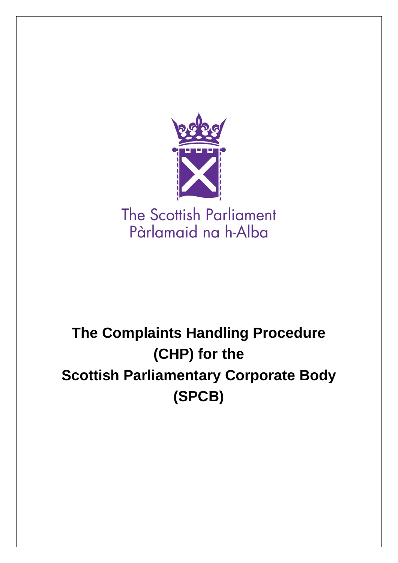

# **The Complaints Handling Procedure (CHP) for the Scottish Parliamentary Corporate Body (SPCB)**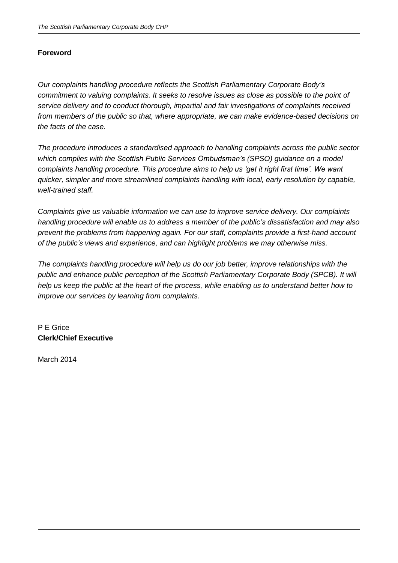#### **Foreword**

*Our complaints handling procedure reflects the Scottish Parliamentary Corporate Body's commitment to valuing complaints. It seeks to resolve issues as close as possible to the point of service delivery and to conduct thorough, impartial and fair investigations of complaints received from members of the public so that, where appropriate, we can make evidence-based decisions on the facts of the case.*

*The procedure introduces a standardised approach to handling complaints across the public sector which complies with the Scottish Public Services Ombudsman's (SPSO) guidance on a model complaints handling procedure. This procedure aims to help us 'get it right first time'. We want quicker, simpler and more streamlined complaints handling with local, early resolution by capable, well-trained staff.*

*Complaints give us valuable information we can use to improve service delivery. Our complaints handling procedure will enable us to address a member of the public's dissatisfaction and may also prevent the problems from happening again. For our staff, complaints provide a first-hand account of the public's views and experience, and can highlight problems we may otherwise miss.*

*The complaints handling procedure will help us do our job better, improve relationships with the public and enhance public perception of the Scottish Parliamentary Corporate Body (SPCB). It will help us keep the public at the heart of the process, while enabling us to understand better how to improve our services by learning from complaints.*

# P E Grice **Clerk/Chief Executive**

March 2014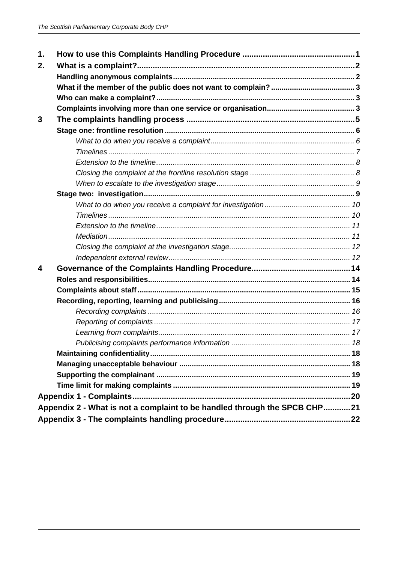| 1.                                                                        |  |  |  |  |
|---------------------------------------------------------------------------|--|--|--|--|
| 2.                                                                        |  |  |  |  |
|                                                                           |  |  |  |  |
|                                                                           |  |  |  |  |
|                                                                           |  |  |  |  |
|                                                                           |  |  |  |  |
| 3                                                                         |  |  |  |  |
|                                                                           |  |  |  |  |
|                                                                           |  |  |  |  |
|                                                                           |  |  |  |  |
|                                                                           |  |  |  |  |
|                                                                           |  |  |  |  |
|                                                                           |  |  |  |  |
|                                                                           |  |  |  |  |
|                                                                           |  |  |  |  |
|                                                                           |  |  |  |  |
|                                                                           |  |  |  |  |
|                                                                           |  |  |  |  |
|                                                                           |  |  |  |  |
|                                                                           |  |  |  |  |
| 4                                                                         |  |  |  |  |
|                                                                           |  |  |  |  |
|                                                                           |  |  |  |  |
|                                                                           |  |  |  |  |
|                                                                           |  |  |  |  |
|                                                                           |  |  |  |  |
|                                                                           |  |  |  |  |
|                                                                           |  |  |  |  |
|                                                                           |  |  |  |  |
|                                                                           |  |  |  |  |
|                                                                           |  |  |  |  |
|                                                                           |  |  |  |  |
|                                                                           |  |  |  |  |
| Appendix 2 - What is not a complaint to be handled through the SPCB CHP21 |  |  |  |  |
|                                                                           |  |  |  |  |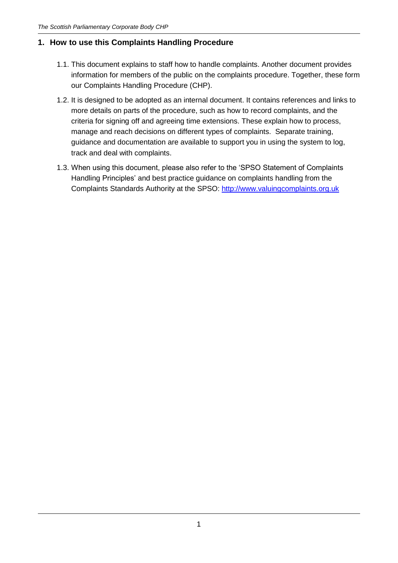# <span id="page-3-0"></span>**1. How to use this Complaints Handling Procedure**

- 1.1. This document explains to staff how to handle complaints. Another document provides information for members of the public on the complaints procedure. Together, these form our Complaints Handling Procedure (CHP).
- 1.2. It is designed to be adopted as an internal document. It contains references and links to more details on parts of the procedure, such as how to record complaints, and the criteria for signing off and agreeing time extensions. These explain how to process, manage and reach decisions on different types of complaints. Separate training, guidance and documentation are available to support you in using the system to log, track and deal with complaints.
- 1.3. When using this document, please also refer to the 'SPSO Statement of Complaints Handling Principles' and best practice guidance on complaints handling from the Complaints Standards Authority at the SPSO: [http://www.valuingcomplaints.org.uk](http://www.valuingcomplaints.org.uk/)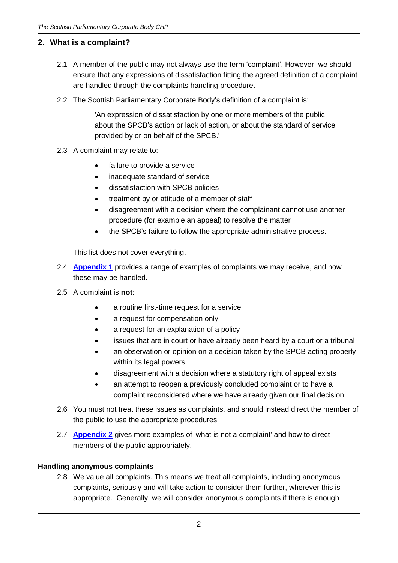# <span id="page-4-0"></span>**2. What is a complaint?**

- 2.1 A member of the public may not always use the term 'complaint'. However, we should ensure that any expressions of dissatisfaction fitting the agreed definition of a complaint are handled through the complaints handling procedure.
- 2.2 The Scottish Parliamentary Corporate Body's definition of a complaint is:

'An expression of dissatisfaction by one or more members of the public about the SPCB's action or lack of action, or about the standard of service provided by or on behalf of the SPCB.'

- 2.3 A complaint may relate to:
	- failure to provide a service
	- inadequate standard of service
	- dissatisfaction with SPCB policies
	- treatment by or attitude of a member of staff
	- disagreement with a decision where the complainant cannot use another procedure (for example an appeal) to resolve the matter
	- the SPCB's failure to follow the appropriate administrative process.

This list does not cover everything.

- 2.4 **[Appendix 1](#page-22-0)** provides a range of examples of complaints we may receive, and how these may be handled.
- 2.5 A complaint is **not**:
	- a routine first-time request for a service
	- a request for compensation only
	- a request for an explanation of a policy
	- issues that are in court or have already been heard by a court or a tribunal
	- an observation or opinion on a decision taken by the SPCB acting properly within its legal powers
	- disagreement with a decision where a statutory right of appeal exists
	- an attempt to reopen a previously concluded complaint or to have a complaint reconsidered where we have already given our final decision.
- 2.6 You must not treat these issues as complaints, and should instead direct the member of the public to use the appropriate procedures.
- 2.7 **[Appendix 2](#page-23-0)** gives more examples of 'what is not a complaint' and how to direct members of the public appropriately.

#### <span id="page-4-1"></span>**Handling anonymous complaints**

2.8 We value all complaints. This means we treat all complaints, including anonymous complaints, seriously and will take action to consider them further, wherever this is appropriate. Generally, we will consider anonymous complaints if there is enough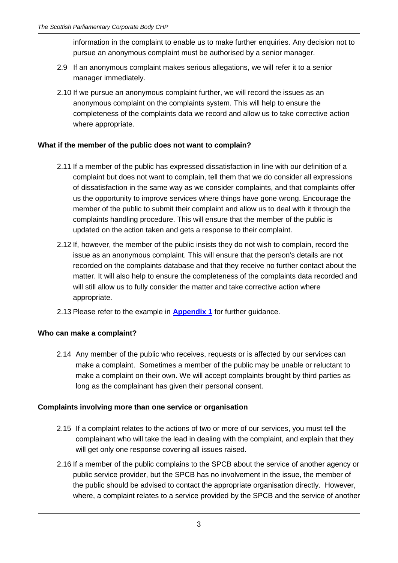information in the complaint to enable us to make further enquiries. Any decision not to pursue an anonymous complaint must be authorised by a senior manager.

- 2.9 If an anonymous complaint makes serious allegations, we will refer it to a senior manager immediately.
- 2.10 If we pursue an anonymous complaint further, we will record the issues as an anonymous complaint on the complaints system. This will help to ensure the completeness of the complaints data we record and allow us to take corrective action where appropriate.

# <span id="page-5-0"></span>**What if the member of the public does not want to complain?**

- 2.11 If a member of the public has expressed dissatisfaction in line with our definition of a complaint but does not want to complain, tell them that we do consider all expressions of dissatisfaction in the same way as we consider complaints, and that complaints offer us the opportunity to improve services where things have gone wrong. Encourage the member of the public to submit their complaint and allow us to deal with it through the complaints handling procedure. This will ensure that the member of the public is updated on the action taken and gets a response to their complaint.
- 2.12 If, however, the member of the public insists they do not wish to complain, record the issue as an anonymous complaint. This will ensure that the person's details are not recorded on the complaints database and that they receive no further contact about the matter. It will also help to ensure the completeness of the complaints data recorded and will still allow us to fully consider the matter and take corrective action where appropriate.
- 2.13 Please refer to the example in **[Appendix 1](#page-22-0)** for further guidance.

#### <span id="page-5-1"></span>**Who can make a complaint?**

2.14 Any member of the public who receives, requests or is affected by our services can make a complaint. Sometimes a member of the public may be unable or reluctant to make a complaint on their own. We will accept complaints brought by third parties as long as the complainant has given their personal consent.

#### <span id="page-5-2"></span>**Complaints involving more than one service or organisation**

- 2.15 If a complaint relates to the actions of two or more of our services, you must tell the complainant who will take the lead in dealing with the complaint, and explain that they will get only one response covering all issues raised.
- 2.16 If a member of the public complains to the SPCB about the service of another agency or public service provider, but the SPCB has no involvement in the issue, the member of the public should be advised to contact the appropriate organisation directly. However, where, a complaint relates to a service provided by the SPCB and the service of another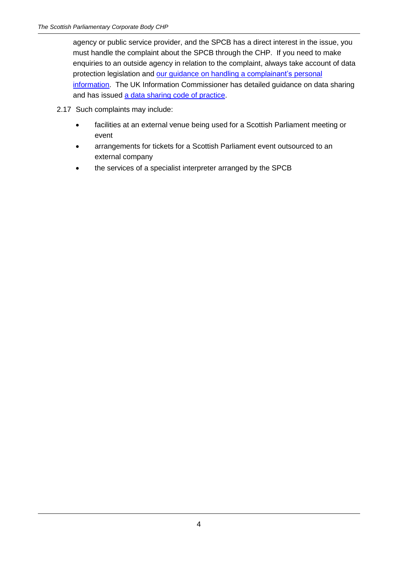agency or public service provider, and the SPCB has a direct interest in the issue, you must handle the complaint about the SPCB through the CHP. If you need to make enquiries to an outside agency in relation to the complaint, always take account of data protection legislation and [our guidance on handling a complainant's](http://www.scottish.parliament.uk/help/19146.aspx) personal [information.](http://www.scottish.parliament.uk/help/19146.aspx) The UK Information Commissioner has detailed guidance on data sharing and has issued [a data sharing code of practice.](http://ico.org.uk/for_organisations/data_protection/topic_guides/data_sharing)

- 2.17 Such complaints may include:
	- facilities at an external venue being used for a Scottish Parliament meeting or event
	- arrangements for tickets for a Scottish Parliament event outsourced to an external company
	- the services of a specialist interpreter arranged by the SPCB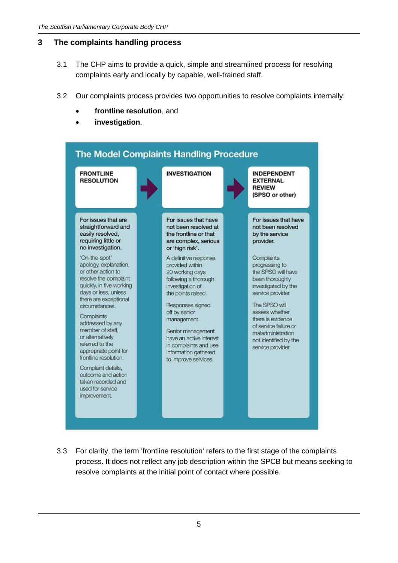# <span id="page-7-0"></span>**3 The complaints handling process**

- 3.1 The CHP aims to provide a quick, simple and streamlined process for resolving complaints early and locally by capable, well-trained staff.
- 3.2 Our complaints process provides two opportunities to resolve complaints internally:
	- **frontline resolution**, and
	- **investigation**.



3.3 For clarity, the term 'frontline resolution' refers to the first stage of the complaints process. It does not reflect any job description within the SPCB but means seeking to resolve complaints at the initial point of contact where possible.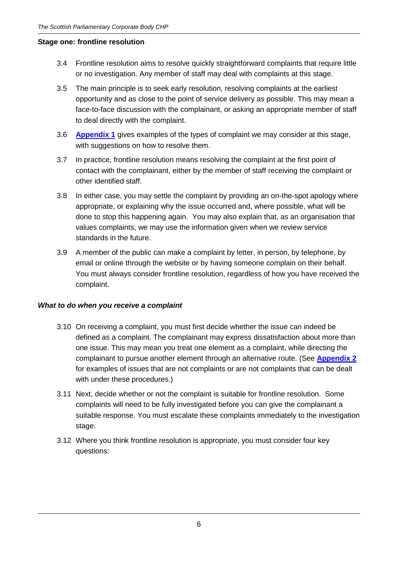#### <span id="page-8-0"></span>**Stage one: frontline resolution**

- 3.4 Frontline resolution aims to resolve quickly straightforward complaints that require little or no investigation. Any member of staff may deal with complaints at this stage.
- 3.5 The main principle is to seek early resolution, resolving complaints at the earliest opportunity and as close to the point of service delivery as possible. This may mean a face-to-face discussion with the complainant, or asking an appropriate member of staff to deal directly with the complaint.
- 3.6 **[Appendix 1](#page-22-0)** gives examples of the types of complaint we may consider at this stage, with suggestions on how to resolve them.
- 3.7 In practice, frontline resolution means resolving the complaint at the first point of contact with the complainant, either by the member of staff receiving the complaint or other identified staff.
- 3.8 In either case, you may settle the complaint by providing an on-the-spot apology where appropriate, or explaining why the issue occurred and, where possible, what will be done to stop this happening again. You may also explain that, as an organisation that values complaints, we may use the information given when we review service standards in the future.
- 3.9 A member of the public can make a complaint by letter, in person, by telephone, by email or online through the website or by having someone complain on their behalf. You must always consider frontline resolution, regardless of how you have received the complaint.

#### <span id="page-8-1"></span>*What to do when you receive a complaint*

- 3.10 On receiving a complaint, you must first decide whether the issue can indeed be defined as a complaint. The complainant may express dissatisfaction about more than one issue. This may mean you treat one element as a complaint, while directing the complainant to pursue another element through an alternative route. (See **[Appendix 2](#page-23-0)** for examples of issues that are not complaints or are not complaints that can be dealt with under these procedures.)
- 3.11 Next, decide whether or not the complaint is suitable for frontline resolution. Some complaints will need to be fully investigated before you can give the complainant a suitable response. You must escalate these complaints immediately to the investigation stage.
- 3.12 Where you think frontline resolution is appropriate, you must consider four key questions: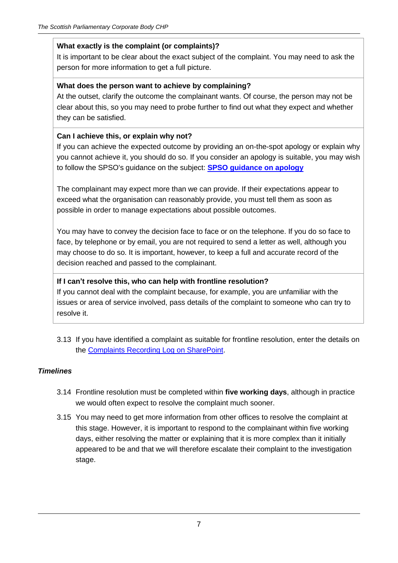#### **What exactly is the complaint (or complaints)?**

It is important to be clear about the exact subject of the complaint. You may need to ask the person for more information to get a full picture.

#### **What does the person want to achieve by complaining?**

At the outset, clarify the outcome the complainant wants. Of course, the person may not be clear about this, so you may need to probe further to find out what they expect and whether they can be satisfied.

#### **Can I achieve this, or explain why not?**

If you can achieve the expected outcome by providing an on-the-spot apology or explain why you cannot achieve it, you should do so. If you consider an apology is suitable, you may wish to follow the SPSO's guidance on the subject: **[SPSO guidance on apology](http://www.spso.org.uk/sites/spso/files/communications_material/leaflets_buj/2011_March_SPSO%20Guidance%20on%20Apology.pdf)**

The complainant may expect more than we can provide. If their expectations appear to exceed what the organisation can reasonably provide, you must tell them as soon as possible in order to manage expectations about possible outcomes.

You may have to convey the decision face to face or on the telephone. If you do so face to face, by telephone or by email, you are not required to send a letter as well, although you may choose to do so. It is important, however, to keep a full and accurate record of the decision reached and passed to the complainant.

#### **If I can't resolve this, who can help with frontline resolution?**

If you cannot deal with the complaint because, for example, you are unfamiliar with the issues or area of service involved, pass details of the complaint to someone who can try to resolve it.

3.13 If you have identified a complaint as suitable for frontline resolution, enter the details on the [Complaints Recording Log on SharePoint.](http://2013portal/collaboration/spinfo/_layouts/15/start.aspx#/default.aspx)

#### <span id="page-9-0"></span>*Timelines*

- 3.14 Frontline resolution must be completed within **five working days**, although in practice we would often expect to resolve the complaint much sooner.
- 3.15 You may need to get more information from other offices to resolve the complaint at this stage. However, it is important to respond to the complainant within five working days, either resolving the matter or explaining that it is more complex than it initially appeared to be and that we will therefore escalate their complaint to the investigation stage.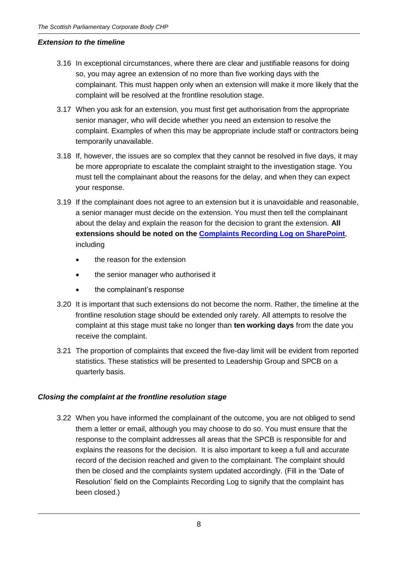#### <span id="page-10-0"></span>*Extension to the timeline*

- 3.16 In exceptional circumstances, where there are clear and justifiable reasons for doing so, you may agree an extension of no more than five working days with the complainant. This must happen only when an extension will make it more likely that the complaint will be resolved at the frontline resolution stage.
- 3.17 When you ask for an extension, you must first get authorisation from the appropriate senior manager, who will decide whether you need an extension to resolve the complaint. Examples of when this may be appropriate include staff or contractors being temporarily unavailable.
- 3.18 If, however, the issues are so complex that they cannot be resolved in five days, it may be more appropriate to escalate the complaint straight to the investigation stage. You must tell the complainant about the reasons for the delay, and when they can expect your response.
- 3.19 If the complainant does not agree to an extension but it is unavoidable and reasonable, a senior manager must decide on the extension. You must then tell the complainant about the delay and explain the reason for the decision to grant the extension. **All extensions should be noted on the [Complaints Recording Log on SharePoint](http://2013portal/collaboration/spinfo/_layouts/15/start.aspx#/default.aspx)**, including
	- the reason for the extension
	- the senior manager who authorised it
	- the complainant's response
- 3.20 It is important that such extensions do not become the norm. Rather, the timeline at the frontline resolution stage should be extended only rarely. All attempts to resolve the complaint at this stage must take no longer than **ten working days** from the date you receive the complaint.
- 3.21 The proportion of complaints that exceed the five-day limit will be evident from reported statistics. These statistics will be presented to Leadership Group and SPCB on a quarterly basis.

# <span id="page-10-1"></span>*Closing the complaint at the frontline resolution stage*

3.22 When you have informed the complainant of the outcome, you are not obliged to send them a letter or email, although you may choose to do so. You must ensure that the response to the complaint addresses all areas that the SPCB is responsible for and explains the reasons for the decision. It is also important to keep a full and accurate record of the decision reached and given to the complainant. The complaint should then be closed and the complaints system updated accordingly. (Fill in the 'Date of Resolution' field on the Complaints Recording Log to signify that the complaint has been closed.)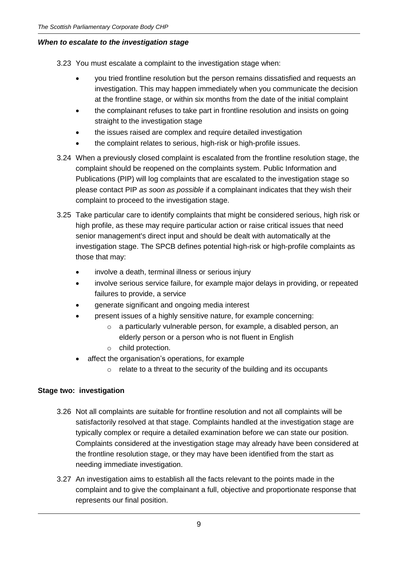#### <span id="page-11-0"></span>*When to escalate to the investigation stage*

3.23 You must escalate a complaint to the investigation stage when:

- you tried frontline resolution but the person remains dissatisfied and requests an investigation. This may happen immediately when you communicate the decision at the frontline stage, or within six months from the date of the initial complaint
- the complainant refuses to take part in frontline resolution and insists on going straight to the investigation stage
- the issues raised are complex and require detailed investigation
- the complaint relates to serious, high-risk or high-profile issues.
- 3.24 When a previously closed complaint is escalated from the frontline resolution stage, the complaint should be reopened on the complaints system. Public Information and Publications (PIP) will log complaints that are escalated to the investigation stage so please contact PIP *as soon as possible* if a complainant indicates that they wish their complaint to proceed to the investigation stage.
- 3.25 Take particular care to identify complaints that might be considered serious, high risk or high profile, as these may require particular action or raise critical issues that need senior management's direct input and should be dealt with automatically at the investigation stage. The SPCB defines potential high-risk or high-profile complaints as those that may:
	- involve a death, terminal illness or serious injury
	- involve serious service failure, for example major delays in providing, or repeated failures to provide, a service
	- generate significant and ongoing media interest
	- present issues of a highly sensitive nature, for example concerning:
		- o a particularly vulnerable person, for example, a disabled person, an elderly person or a person who is not fluent in English
		- o child protection.
	- affect the organisation's operations, for example
		- $\circ$  relate to a threat to the security of the building and its occupants

#### <span id="page-11-1"></span>**Stage two: investigation**

- 3.26 Not all complaints are suitable for frontline resolution and not all complaints will be satisfactorily resolved at that stage. Complaints handled at the investigation stage are typically complex or require a detailed examination before we can state our position. Complaints considered at the investigation stage may already have been considered at the frontline resolution stage, or they may have been identified from the start as needing immediate investigation.
- 3.27 An investigation aims to establish all the facts relevant to the points made in the complaint and to give the complainant a full, objective and proportionate response that represents our final position.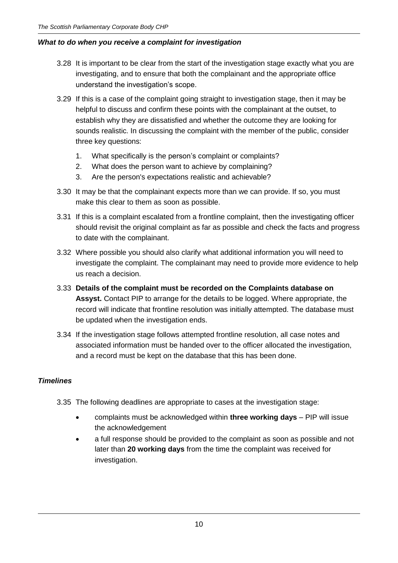# <span id="page-12-0"></span>*What to do when you receive a complaint for investigation*

- 3.28 It is important to be clear from the start of the investigation stage exactly what you are investigating, and to ensure that both the complainant and the appropriate office understand the investigation's scope.
- 3.29 If this is a case of the complaint going straight to investigation stage, then it may be helpful to discuss and confirm these points with the complainant at the outset, to establish why they are dissatisfied and whether the outcome they are looking for sounds realistic. In discussing the complaint with the member of the public, consider three key questions:
	- 1. What specifically is the person's complaint or complaints?
	- 2. What does the person want to achieve by complaining?
	- 3. Are the person's expectations realistic and achievable?
- 3.30 It may be that the complainant expects more than we can provide. If so, you must make this clear to them as soon as possible.
- 3.31 If this is a complaint escalated from a frontline complaint, then the investigating officer should revisit the original complaint as far as possible and check the facts and progress to date with the complainant.
- 3.32 Where possible you should also clarify what additional information you will need to investigate the complaint. The complainant may need to provide more evidence to help us reach a decision.
- 3.33 **Details of the complaint must be recorded on the Complaints database on Assyst.** Contact PIP to arrange for the details to be logged. Where appropriate, the record will indicate that frontline resolution was initially attempted. The database must be updated when the investigation ends.
- 3.34 If the investigation stage follows attempted frontline resolution, all case notes and associated information must be handed over to the officer allocated the investigation, and a record must be kept on the database that this has been done.

#### <span id="page-12-1"></span>*Timelines*

- 3.35 The following deadlines are appropriate to cases at the investigation stage:
	- complaints must be acknowledged within **three working days** PIP will issue the acknowledgement
	- a full response should be provided to the complaint as soon as possible and not later than **20 working days** from the time the complaint was received for investigation.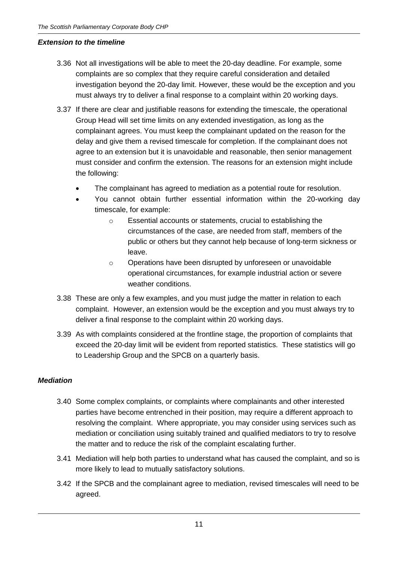#### <span id="page-13-0"></span>*Extension to the timeline*

- 3.36 Not all investigations will be able to meet the 20-day deadline. For example, some complaints are so complex that they require careful consideration and detailed investigation beyond the 20-day limit. However, these would be the exception and you must always try to deliver a final response to a complaint within 20 working days.
- 3.37 If there are clear and justifiable reasons for extending the timescale, the operational Group Head will set time limits on any extended investigation, as long as the complainant agrees. You must keep the complainant updated on the reason for the delay and give them a revised timescale for completion. If the complainant does not agree to an extension but it is unavoidable and reasonable, then senior management must consider and confirm the extension. The reasons for an extension might include the following:
	- The complainant has agreed to mediation as a potential route for resolution.
	- You cannot obtain further essential information within the 20-working day timescale, for example:
		- o Essential accounts or statements, crucial to establishing the circumstances of the case, are needed from staff, members of the public or others but they cannot help because of long-term sickness or leave.
		- o Operations have been disrupted by unforeseen or unavoidable operational circumstances, for example industrial action or severe weather conditions.
- 3.38 These are only a few examples, and you must judge the matter in relation to each complaint. However, an extension would be the exception and you must always try to deliver a final response to the complaint within 20 working days.
- 3.39 As with complaints considered at the frontline stage, the proportion of complaints that exceed the 20-day limit will be evident from reported statistics. These statistics will go to Leadership Group and the SPCB on a quarterly basis.

#### <span id="page-13-1"></span>*Mediation*

- 3.40 Some complex complaints, or complaints where complainants and other interested parties have become entrenched in their position, may require a different approach to resolving the complaint. Where appropriate, you may consider using services such as mediation or conciliation using suitably trained and qualified mediators to try to resolve the matter and to reduce the risk of the complaint escalating further.
- 3.41 Mediation will help both parties to understand what has caused the complaint, and so is more likely to lead to mutually satisfactory solutions.
- 3.42 If the SPCB and the complainant agree to mediation, revised timescales will need to be agreed.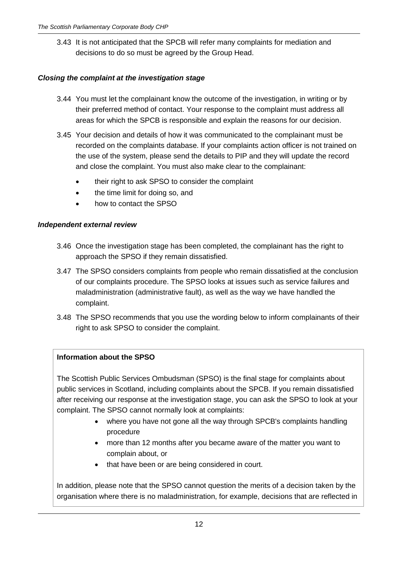3.43 It is not anticipated that the SPCB will refer many complaints for mediation and decisions to do so must be agreed by the Group Head.

# <span id="page-14-0"></span>*Closing the complaint at the investigation stage*

- 3.44 You must let the complainant know the outcome of the investigation, in writing or by their preferred method of contact. Your response to the complaint must address all areas for which the SPCB is responsible and explain the reasons for our decision.
- 3.45 Your decision and details of how it was communicated to the complainant must be recorded on the complaints database. If your complaints action officer is not trained on the use of the system, please send the details to PIP and they will update the record and close the complaint. You must also make clear to the complainant:
	- their right to ask SPSO to consider the complaint
	- the time limit for doing so, and
	- how to contact the SPSO

#### <span id="page-14-1"></span>*Independent external review*

- 3.46 Once the investigation stage has been completed, the complainant has the right to approach the SPSO if they remain dissatisfied.
- 3.47 The SPSO considers complaints from people who remain dissatisfied at the conclusion of our complaints procedure. The SPSO looks at issues such as service failures and maladministration (administrative fault), as well as the way we have handled the complaint.
- 3.48 The SPSO recommends that you use the wording below to inform complainants of their right to ask SPSO to consider the complaint.

#### **Information about the SPSO**

The Scottish Public Services Ombudsman (SPSO) is the final stage for complaints about public services in Scotland, including complaints about the SPCB. If you remain dissatisfied after receiving our response at the investigation stage, you can ask the SPSO to look at your complaint. The SPSO cannot normally look at complaints:

- where you have not gone all the way through SPCB's complaints handling procedure
- more than 12 months after you became aware of the matter you want to complain about, or
- that have been or are being considered in court.

In addition, please note that the SPSO cannot question the merits of a decision taken by the organisation where there is no maladministration, for example, decisions that are reflected in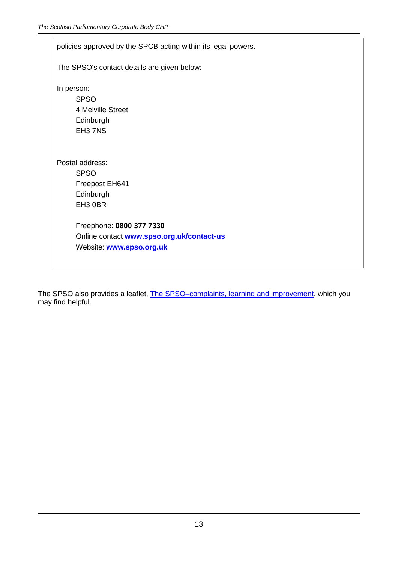| policies approved by the SPCB acting within its legal powers.                                                                                     |  |  |
|---------------------------------------------------------------------------------------------------------------------------------------------------|--|--|
| The SPSO's contact details are given below:                                                                                                       |  |  |
| In person:<br><b>SPSO</b><br>4 Melville Street<br>Edinburgh<br>EH37NS                                                                             |  |  |
| Postal address:<br><b>SPSO</b><br>Freepost EH641<br>Edinburgh<br>EH3 0BR<br>Freephone: 0800 377 7330<br>Online contact www.spso.org.uk/contact-us |  |  |
| Website: www.spso.org.uk                                                                                                                          |  |  |

The SPSO also provides a leaflet, [The SPSO–complaints, learning and improvement,](http://www.spso.org.uk/sites/spso/files/communications_material/leaflets_buj/2013_03_12_The_SPSO_complaints_learning_improvement.pdf) which you may find helpful.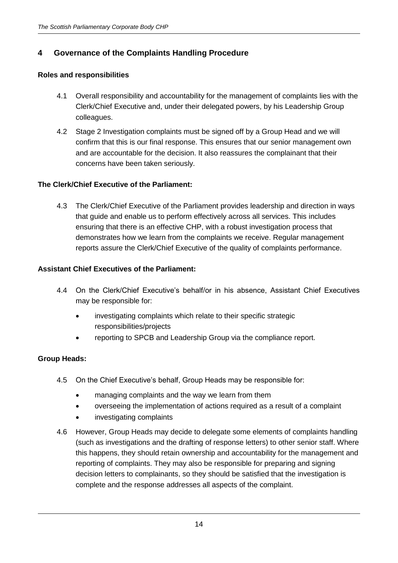# <span id="page-16-0"></span>**4 Governance of the Complaints Handling Procedure**

#### <span id="page-16-1"></span>**Roles and responsibilities**

- 4.1 Overall responsibility and accountability for the management of complaints lies with the Clerk/Chief Executive and, under their delegated powers, by his Leadership Group colleagues.
- 4.2 Stage 2 Investigation complaints must be signed off by a Group Head and we will confirm that this is our final response. This ensures that our senior management own and are accountable for the decision. It also reassures the complainant that their concerns have been taken seriously.

# **The Clerk/Chief Executive of the Parliament:**

4.3 The Clerk/Chief Executive of the Parliament provides leadership and direction in ways that guide and enable us to perform effectively across all services. This includes ensuring that there is an effective CHP, with a robust investigation process that demonstrates how we learn from the complaints we receive. Regular management reports assure the Clerk/Chief Executive of the quality of complaints performance.

# **Assistant Chief Executives of the Parliament:**

- 4.4 On the Clerk/Chief Executive's behalf/or in his absence, Assistant Chief Executives may be responsible for:
	- investigating complaints which relate to their specific strategic responsibilities/projects
	- reporting to SPCB and Leadership Group via the compliance report.

#### **Group Heads:**

- 4.5 On the Chief Executive's behalf, Group Heads may be responsible for:
	- managing complaints and the way we learn from them
	- overseeing the implementation of actions required as a result of a complaint
	- investigating complaints
- 4.6 However, Group Heads may decide to delegate some elements of complaints handling (such as investigations and the drafting of response letters) to other senior staff. Where this happens, they should retain ownership and accountability for the management and reporting of complaints. They may also be responsible for preparing and signing decision letters to complainants, so they should be satisfied that the investigation is complete and the response addresses all aspects of the complaint.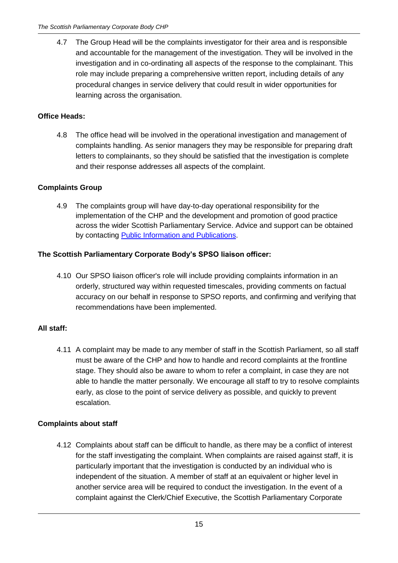4.7 The Group Head will be the complaints investigator for their area and is responsible and accountable for the management of the investigation. They will be involved in the investigation and in co-ordinating all aspects of the response to the complainant. This role may include preparing a comprehensive written report, including details of any procedural changes in service delivery that could result in wider opportunities for learning across the organisation.

# **Office Heads:**

4.8 The office head will be involved in the operational investigation and management of complaints handling. As senior managers they may be responsible for preparing draft letters to complainants, so they should be satisfied that the investigation is complete and their response addresses all aspects of the complaint.

# **Complaints Group**

4.9 The complaints group will have day-to-day operational responsibility for the implementation of the CHP and the development and promotion of good practice across the wider Scottish Parliamentary Service. Advice and support can be obtained by contacting [Public Information and Publications.](http://www.scottish.parliament.uk/visitandlearn/25072.aspx)

# **The Scottish Parliamentary Corporate Body's SPSO liaison officer:**

4.10 Our SPSO liaison officer's role will include providing complaints information in an orderly, structured way within requested timescales, providing comments on factual accuracy on our behalf in response to SPSO reports, and confirming and verifying that recommendations have been implemented.

#### **All staff:**

4.11 A complaint may be made to any member of staff in the Scottish Parliament, so all staff must be aware of the CHP and how to handle and record complaints at the frontline stage. They should also be aware to whom to refer a complaint, in case they are not able to handle the matter personally. We encourage all staff to try to resolve complaints early, as close to the point of service delivery as possible, and quickly to prevent escalation.

#### <span id="page-17-0"></span>**Complaints about staff**

4.12 Complaints about staff can be difficult to handle, as there may be a conflict of interest for the staff investigating the complaint. When complaints are raised against staff, it is particularly important that the investigation is conducted by an individual who is independent of the situation. A member of staff at an equivalent or higher level in another service area will be required to conduct the investigation. In the event of a complaint against the Clerk/Chief Executive, the Scottish Parliamentary Corporate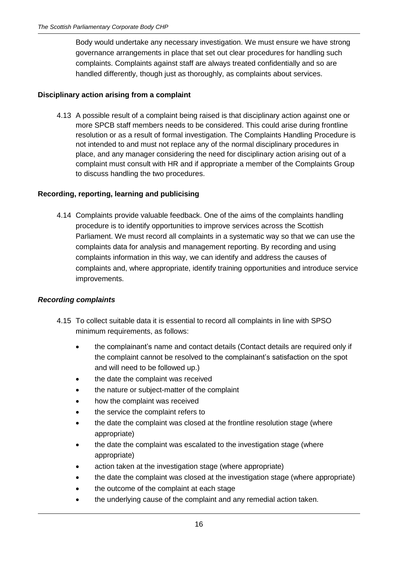Body would undertake any necessary investigation. We must ensure we have strong governance arrangements in place that set out clear procedures for handling such complaints. Complaints against staff are always treated confidentially and so are handled differently, though just as thoroughly, as complaints about services.

# **Disciplinary action arising from a complaint**

4.13 A possible result of a complaint being raised is that disciplinary action against one or more SPCB staff members needs to be considered. This could arise during frontline resolution or as a result of formal investigation. The Complaints Handling Procedure is not intended to and must not replace any of the normal disciplinary procedures in place, and any manager considering the need for disciplinary action arising out of a complaint must consult with HR and if appropriate a member of the Complaints Group to discuss handling the two procedures.

# <span id="page-18-0"></span>**Recording, reporting, learning and publicising**

4.14 Complaints provide valuable feedback. One of the aims of the complaints handling procedure is to identify opportunities to improve services across the Scottish Parliament. We must record all complaints in a systematic way so that we can use the complaints data for analysis and management reporting. By recording and using complaints information in this way, we can identify and address the causes of complaints and, where appropriate, identify training opportunities and introduce service improvements.

#### <span id="page-18-1"></span>*Recording complaints*

- 4.15 To collect suitable data it is essential to record all complaints in line with SPSO minimum requirements, as follows:
	- the complainant's name and contact details (Contact details are required only if the complaint cannot be resolved to the complainant's satisfaction on the spot and will need to be followed up.)
	- the date the complaint was received
	- the nature or subject-matter of the complaint
	- how the complaint was received
	- the service the complaint refers to
	- the date the complaint was closed at the frontline resolution stage (where appropriate)
	- the date the complaint was escalated to the investigation stage (where appropriate)
	- action taken at the investigation stage (where appropriate)
	- the date the complaint was closed at the investigation stage (where appropriate)
	- the outcome of the complaint at each stage
	- the underlying cause of the complaint and any remedial action taken.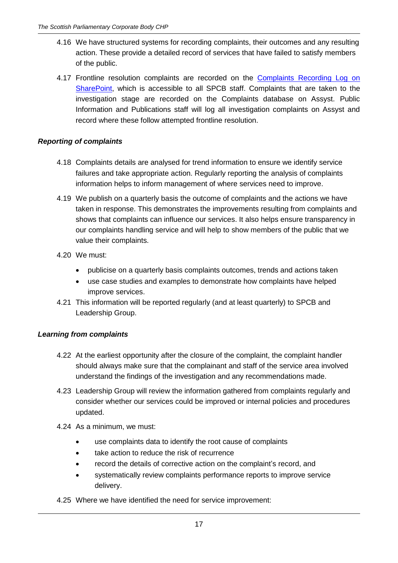- 4.16 We have structured systems for recording complaints, their outcomes and any resulting action. These provide a detailed record of services that have failed to satisfy members of the public.
- 4.17 Frontline resolution complaints are recorded on the Complaints Recording Log on [SharePoint,](http://2013portal/collaboration/spinfo/_layouts/15/start.aspx#/default.aspx) which is accessible to all SPCB staff. Complaints that are taken to the investigation stage are recorded on the Complaints database on Assyst. Public Information and Publications staff will log all investigation complaints on Assyst and record where these follow attempted frontline resolution.

# <span id="page-19-0"></span>*Reporting of complaints*

- 4.18 Complaints details are analysed for trend information to ensure we identify service failures and take appropriate action. Regularly reporting the analysis of complaints information helps to inform management of where services need to improve.
- 4.19 We publish on a quarterly basis the outcome of complaints and the actions we have taken in response. This demonstrates the improvements resulting from complaints and shows that complaints can influence our services. It also helps ensure transparency in our complaints handling service and will help to show members of the public that we value their complaints.
- 4.20 We must:
	- publicise on a quarterly basis complaints outcomes, trends and actions taken
	- use case studies and examples to demonstrate how complaints have helped improve services.
- 4.21 This information will be reported regularly (and at least quarterly) to SPCB and Leadership Group.

# <span id="page-19-1"></span>*Learning from complaints*

- 4.22 At the earliest opportunity after the closure of the complaint, the complaint handler should always make sure that the complainant and staff of the service area involved understand the findings of the investigation and any recommendations made.
- 4.23 Leadership Group will review the information gathered from complaints regularly and consider whether our services could be improved or internal policies and procedures updated.
- 4.24 As a minimum, we must:
	- use complaints data to identify the root cause of complaints
	- take action to reduce the risk of recurrence
	- record the details of corrective action on the complaint's record, and
	- systematically review complaints performance reports to improve service delivery.
- 4.25 Where we have identified the need for service improvement: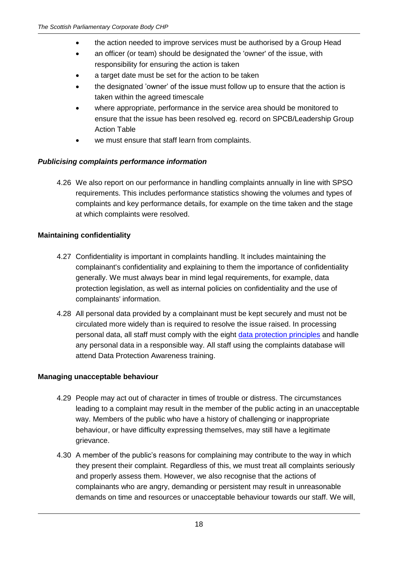- the action needed to improve services must be authorised by a Group Head
- an officer (or team) should be designated the 'owner' of the issue, with responsibility for ensuring the action is taken
- a target date must be set for the action to be taken
- the designated 'owner' of the issue must follow up to ensure that the action is taken within the agreed timescale
- where appropriate, performance in the service area should be monitored to ensure that the issue has been resolved eg. record on SPCB/Leadership Group Action Table
- we must ensure that staff learn from complaints.

# <span id="page-20-0"></span>*Publicising complaints performance information*

4.26 We also report on our performance in handling complaints annually in line with SPSO requirements. This includes performance statistics showing the volumes and types of complaints and key performance details, for example on the time taken and the stage at which complaints were resolved.

# <span id="page-20-1"></span>**Maintaining confidentiality**

- 4.27 Confidentiality is important in complaints handling. It includes maintaining the complainant's confidentiality and explaining to them the importance of confidentiality generally. We must always bear in mind legal requirements, for example, data protection legislation, as well as internal policies on confidentiality and the use of complainants' information.
- 4.28 All personal data provided by a complainant must be kept securely and must not be circulated more widely than is required to resolve the issue raised. In processing personal data, all staff must comply with the eight [data protection principles](http://www.scottish.parliament.uk/help/19146.aspx) and handle any personal data in a responsible way. All staff using the complaints database will attend Data Protection Awareness training.

# <span id="page-20-2"></span>**Managing unacceptable behaviour**

- 4.29 People may act out of character in times of trouble or distress. The circumstances leading to a complaint may result in the member of the public acting in an unacceptable way. Members of the public who have a history of challenging or inappropriate behaviour, or have difficulty expressing themselves, may still have a legitimate grievance.
- 4.30 A member of the public's reasons for complaining may contribute to the way in which they present their complaint. Regardless of this, we must treat all complaints seriously and properly assess them. However, we also recognise that the actions of complainants who are angry, demanding or persistent may result in unreasonable demands on time and resources or unacceptable behaviour towards our staff. We will,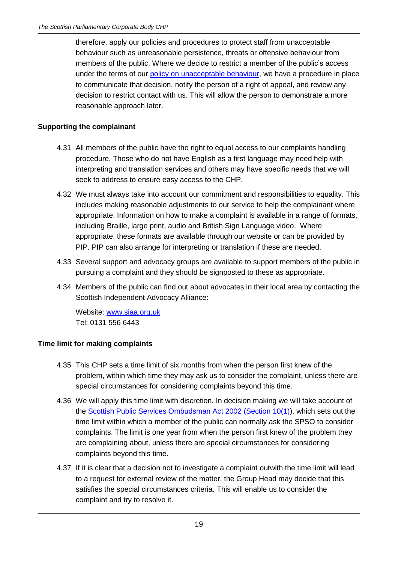therefore, apply our policies and procedures to protect staff from unacceptable behaviour such as unreasonable persistence, threats or offensive behaviour from members of the public. Where we decide to restrict a member of the public's access under the terms of our [policy on unacceptable behaviour,](http://www.scottish.parliament.uk/intranet/53126.aspx) we have a procedure in place to communicate that decision, notify the person of a right of appeal, and review any decision to restrict contact with us. This will allow the person to demonstrate a more reasonable approach later.

# <span id="page-21-0"></span>**Supporting the complainant**

- 4.31 All members of the public have the right to equal access to our complaints handling procedure. Those who do not have English as a first language may need help with interpreting and translation services and others may have specific needs that we will seek to address to ensure easy access to the CHP.
- 4.32 We must always take into account our commitment and responsibilities to equality. This includes making reasonable adjustments to our service to help the complainant where appropriate. Information on how to make a complaint is available in a range of formats, including Braille, large print, audio and British Sign Language video. Where appropriate, these formats are available through our website or can be provided by PIP. PIP can also arrange for interpreting or translation if these are needed.
- 4.33 Several support and advocacy groups are available to support members of the public in pursuing a complaint and they should be signposted to these as appropriate.
- 4.34 Members of the public can find out about advocates in their local area by contacting the Scottish Independent Advocacy Alliance:

Website: [www.siaa.org.uk](http://www.siaa.org.uk/)  Tel: 0131 556 6443

#### <span id="page-21-1"></span>**Time limit for making complaints**

- 4.35 This CHP sets a time limit of six months from when the person first knew of the problem, within which time they may ask us to consider the complaint, unless there are special circumstances for considering complaints beyond this time.
- 4.36 We will apply this time limit with discretion. In decision making we will take account of the [Scottish Public Services Ombudsman Act](http://www.legislation.gov.uk/asp/2002/11/section/10) 2002 (Section 10(1)), which sets out the time limit within which a member of the public can normally ask the SPSO to consider complaints. The limit is one year from when the person first knew of the problem they are complaining about, unless there are special circumstances for considering complaints beyond this time.
- 4.37 If it is clear that a decision not to investigate a complaint outwith the time limit will lead to a request for external review of the matter, the Group Head may decide that this satisfies the special circumstances criteria. This will enable us to consider the complaint and try to resolve it.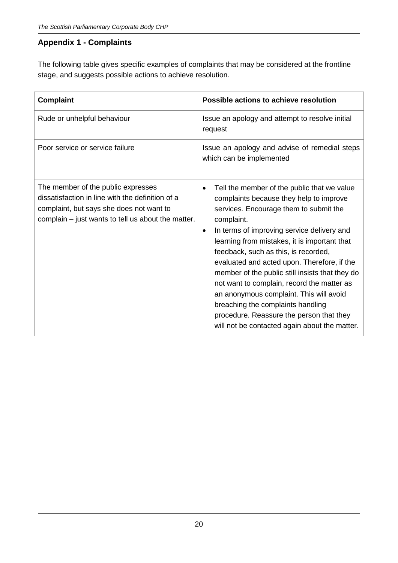# <span id="page-22-0"></span>**Appendix 1 - Complaints**

The following table gives specific examples of complaints that may be considered at the frontline stage, and suggests possible actions to achieve resolution.

| <b>Complaint</b>                                                                                                                                                                         | Possible actions to achieve resolution                                                                                                                                                                                                                                                                                                                                                                                                                                                                                                                                                                                                      |
|------------------------------------------------------------------------------------------------------------------------------------------------------------------------------------------|---------------------------------------------------------------------------------------------------------------------------------------------------------------------------------------------------------------------------------------------------------------------------------------------------------------------------------------------------------------------------------------------------------------------------------------------------------------------------------------------------------------------------------------------------------------------------------------------------------------------------------------------|
| Rude or unhelpful behaviour                                                                                                                                                              | Issue an apology and attempt to resolve initial<br>request                                                                                                                                                                                                                                                                                                                                                                                                                                                                                                                                                                                  |
| Poor service or service failure                                                                                                                                                          | Issue an apology and advise of remedial steps<br>which can be implemented                                                                                                                                                                                                                                                                                                                                                                                                                                                                                                                                                                   |
| The member of the public expresses<br>dissatisfaction in line with the definition of a<br>complaint, but says she does not want to<br>complain – just wants to tell us about the matter. | Tell the member of the public that we value<br>$\bullet$<br>complaints because they help to improve<br>services. Encourage them to submit the<br>complaint.<br>In terms of improving service delivery and<br>$\bullet$<br>learning from mistakes, it is important that<br>feedback, such as this, is recorded,<br>evaluated and acted upon. Therefore, if the<br>member of the public still insists that they do<br>not want to complain, record the matter as<br>an anonymous complaint. This will avoid<br>breaching the complaints handling<br>procedure. Reassure the person that they<br>will not be contacted again about the matter. |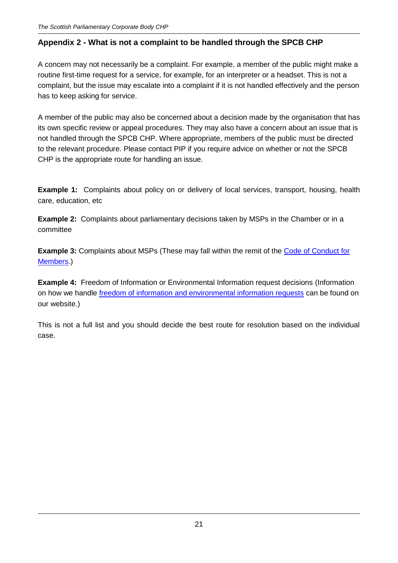# <span id="page-23-0"></span>**Appendix 2 - What is not a complaint to be handled through the SPCB CHP**

A concern may not necessarily be a complaint. For example, a member of the public might make a routine first-time request for a service, for example, for an interpreter or a headset. This is not a complaint, but the issue may escalate into a complaint if it is not handled effectively and the person has to keep asking for service.

A member of the public may also be concerned about a decision made by the organisation that has its own specific review or appeal procedures. They may also have a concern about an issue that is not handled through the SPCB CHP. Where appropriate, members of the public must be directed to the relevant procedure. Please contact PIP if you require advice on whether or not the SPCB CHP is the appropriate route for handling an issue.

**Example 1:** Complaints about policy on or delivery of local services, transport, housing, health care, education, etc

**Example 2:** Complaints about parliamentary decisions taken by MSPs in the Chamber or in a committee

**Example 3:** Complaints about MSPs (These may fall within the remit of the Code of Conduct for [Members.](http://www.scottish.parliament.uk/msps/12446.aspx))

**Example 4:** Freedom of Information or Environmental Information request decisions (Information on how we handle [freedom of information and environmental information requests](http://www.scottish.parliament.uk/help/43163.aspx) can be found on our website.)

This is not a full list and you should decide the best route for resolution based on the individual case.